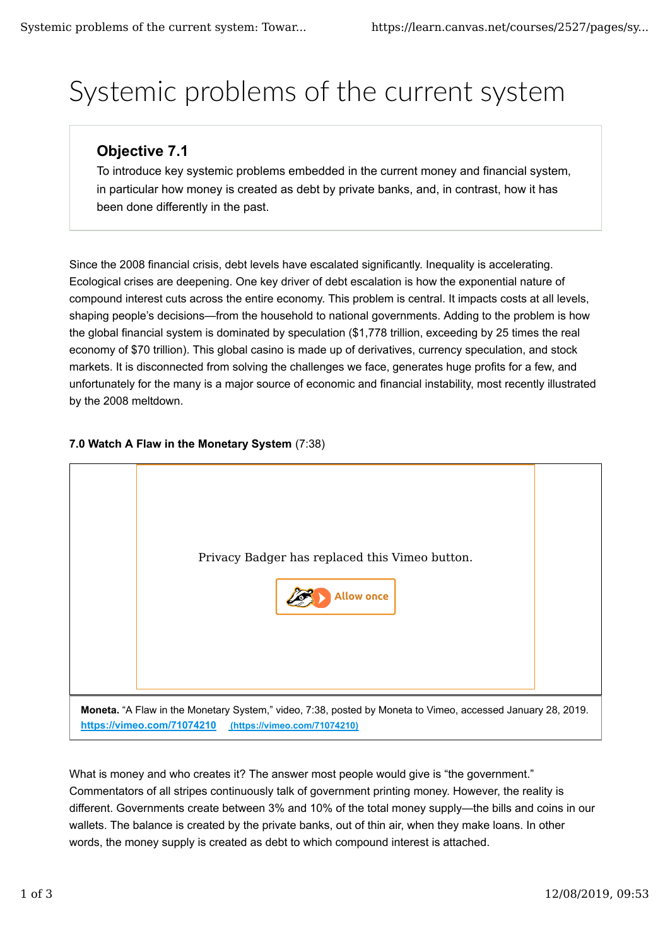# Systemic problems of the current system

## **Objective 7.1**

To introduce key systemic problems embedded in the current money and financial system, in particular how money is created as debt by private banks, and, in contrast, how it has been done differently in the past.

Since the 2008 financial crisis, debt levels have escalated significantly. Inequality is accelerating. Ecological crises are deepening. One key driver of debt escalation is how the exponential nature of compound interest cuts across the entire economy. This problem is central. It impacts costs at all levels, shaping people's decisions—from the household to national governments. Adding to the problem is how the global financial system is dominated by speculation (\$1,778 trillion, exceeding by 25 times the real economy of \$70 trillion). This global casino is made up of derivatives, currency speculation, and stock markets. It is disconnected from solving the challenges we face, generates huge profits for a few, and unfortunately for the many is a major source of economic and financial instability, most recently illustrated by the 2008 meltdown.

### **7.0 Watch A Flaw in the Monetary System** (7:38)



What is money and who creates it? The answer most people would give is "the government." Commentators of all stripes continuously talk of government printing money. However, the reality is different. Governments create between 3% and 10% of the total money supply—the bills and coins in our wallets. The balance is created by the private banks, out of thin air, when they make loans. In other words, the money supply is created as debt to which compound interest is attached.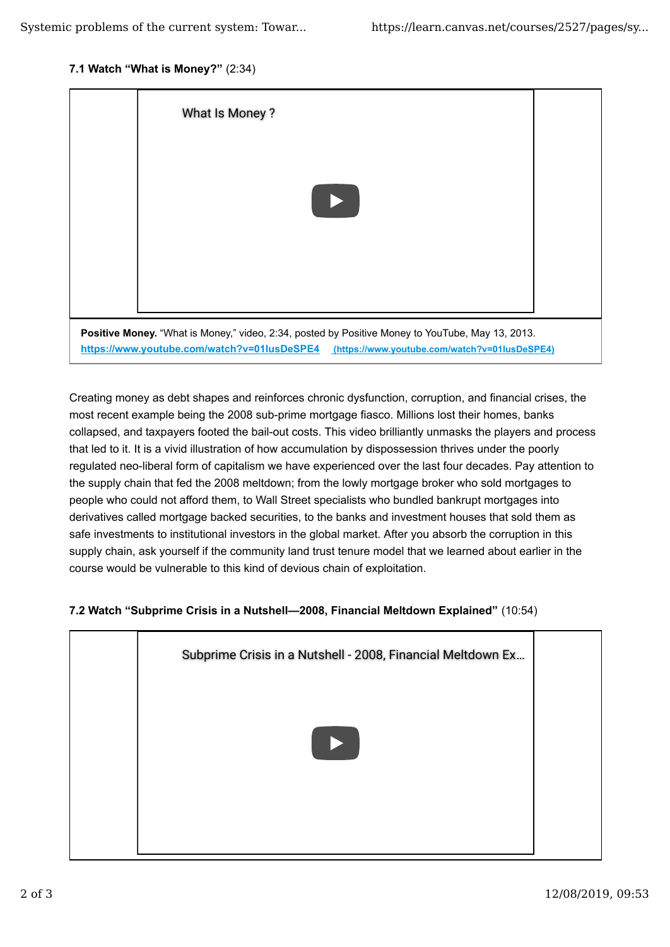#### **7.1 Watch "What is Money?"** (2:34)



Creating money as debt shapes and reinforces chronic dysfunction, corruption, and financial crises, the most recent example being the 2008 sub-prime mortgage fiasco. Millions lost their homes, banks collapsed, and taxpayers footed the bail-out costs. This video brilliantly unmasks the players and process that led to it. It is a vivid illustration of how accumulation by dispossession thrives under the poorly regulated neo-liberal form of capitalism we have experienced over the last four decades. Pay attention to the supply chain that fed the 2008 meltdown; from the lowly mortgage broker who sold mortgages to people who could not afford them, to Wall Street specialists who bundled bankrupt mortgages into derivatives called mortgage backed securities, to the banks and investment houses that sold them as safe investments to institutional investors in the global market. After you absorb the corruption in this supply chain, ask yourself if the community land trust tenure model that we learned about earlier in the course would be vulnerable to this kind of devious chain of exploitation.

#### **7.2 Watch "Subprime Crisis in a Nutshell—2008, Financial Meltdown Explained"** (10:54)